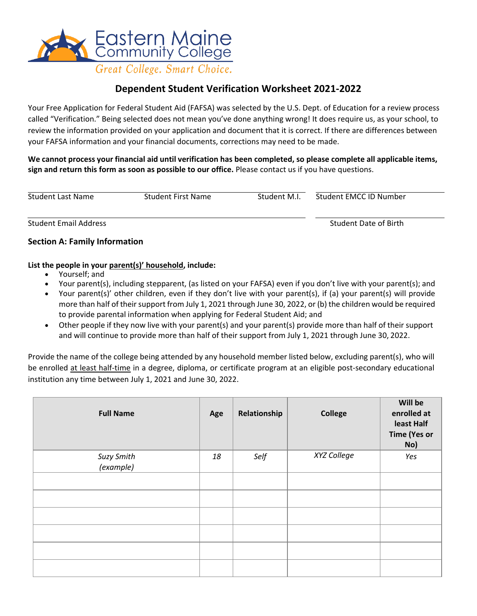

# **Dependent Student Verification Worksheet 2021-2022**

Your Free Application for Federal Student Aid (FAFSA) was selected by the U.S. Dept. of Education for a review process called "Verification." Being selected does not mean you've done anything wrong! It does require us, as your school, to review the information provided on your application and document that it is correct. If there are differences between your FAFSA information and your financial documents, corrections may need to be made.

**We cannot process your financial aid until verification has been completed, so please complete all applicable items, sign and return this form as soon as possible to our office.** Please contact us if you have questions.

| <b>Student Last Name</b> | Student First Name | Student M.I. | Student EMCC ID Number |  |
|--------------------------|--------------------|--------------|------------------------|--|
|                          |                    |              |                        |  |

Student Email Address Student Date of Birth

### **Section A: Family Information**

#### **List the people in your parent(s)' household, include:**

- Yourself; and
- Your parent(s), including stepparent, (as listed on your FAFSA) even if you don't live with your parent(s); and
- Your parent(s)' other children, even if they don't live with your parent(s), if (a) your parent(s) will provide more than half of their support from July 1, 2021 through June 30, 2022, or (b) the children would be required to provide parental information when applying for Federal Student Aid; and
- Other people if they now live with your parent(s) and your parent(s) provide more than half of their support and will continue to provide more than half of their support from July 1, 2021 through June 30, 2022.

Provide the name of the college being attended by any household member listed below, excluding parent(s), who will be enrolled at least half-time in a degree, diploma, or certificate program at an eligible post-secondary educational institution any time between July 1, 2021 and June 30, 2022.

| <b>Full Name</b>        | Age | Relationship | <b>College</b> | Will be<br>enrolled at<br>least Half<br><b>Time (Yes or</b><br>No) |
|-------------------------|-----|--------------|----------------|--------------------------------------------------------------------|
| Suzy Smith<br>(example) | 18  | Self         | XYZ College    | Yes                                                                |
|                         |     |              |                |                                                                    |
|                         |     |              |                |                                                                    |
|                         |     |              |                |                                                                    |
|                         |     |              |                |                                                                    |
|                         |     |              |                |                                                                    |
|                         |     |              |                |                                                                    |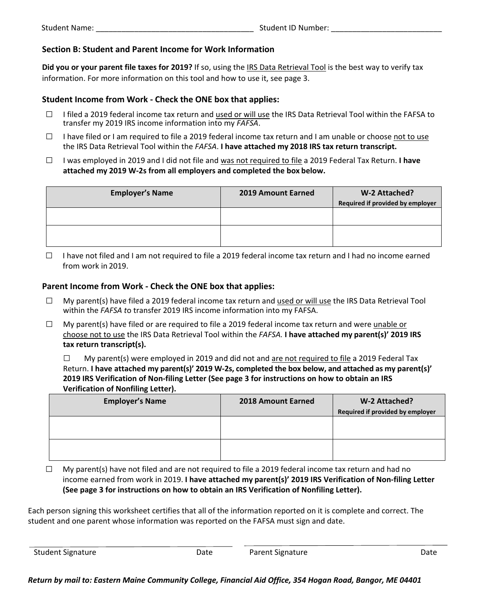### **Section B: Student and Parent Income for Work Information**

**Did you or your parent file taxes for 2019?** If so, using the IRS Data Retrieval Tool is the best way to verify tax information. For more information on this tool and how to use it, see page 3.

### **Student Income from Work - Check the ONE box that applies:**

- □ I filed a 2019 federal income tax return and used or will use the IRS Data Retrieval Tool within the FAFSA to transfer my 2019 IRS income information into my *FAFSA*.
- $\Box$  I have filed or I am required to file a 2019 federal income tax return and I am unable or choose not to use the IRS Data Retrieval Tool within the *FAFSA*. **I have attached my 2018 IRS tax return transcript.**
- □ I was employed in 2019 and I did not file and was not required to file a 2019 Federal Tax Return. **I have attached my 2019 W-2s from all employers and completed the box below.**

| 2019 Amount Earned | W-2 Attached?                    |
|--------------------|----------------------------------|
|                    | Required if provided by employer |
|                    |                                  |
|                    |                                  |
|                    |                                  |
|                    |                                  |
|                    |                                  |

□ I have not filed and I am not required to file a 2019 federal income tax return and I had no income earned from work in 2019.

#### **Parent Income from Work - Check the ONE box that applies:**

- $\Box$  My parent(s) have filed a 2019 federal income tax return and used or will use the IRS Data Retrieval Tool within the *FAFSA t*o transfer 2019 IRS income information into my FAFSA.
- $\Box$  My parent(s) have filed or are required to file a 2019 federal income tax return and were unable or choose not to use the IRS Data Retrieval Tool within the *FAFSA.* **I have attached my parent(s)' 2019 IRS tax return transcript(s).**

 $\Box$  My parent(s) were employed in 2019 and did not and are not required to file a 2019 Federal Tax Return. **I have attached my parent(s)' 2019 W-2s, completed the box below, and attached as my parent(s)' 2019 IRS Verification of Non-filing Letter (See page 3 for instructions on how to obtain an IRS Verification of Nonfiling Letter).** 

| 2018 Amount Earned | W-2 Attached?                    |
|--------------------|----------------------------------|
|                    | Required if provided by employer |
|                    |                                  |
|                    |                                  |
|                    |                                  |
|                    |                                  |
|                    |                                  |

 $\Box$  My parent(s) have not filed and are not required to file a 2019 federal income tax return and had no income earned from work in 2019. **I have attached my parent(s)' 2019 IRS Verification of Non-filing Letter (See page 3 for instructions on how to obtain an IRS Verification of Nonfiling Letter).** 

Each person signing this worksheet certifies that all of the information reported on it is complete and correct. The student and one parent whose information was reported on the FAFSA must sign and date.

Student Signature The Date Parent Signature Date Parent Signature Date Date